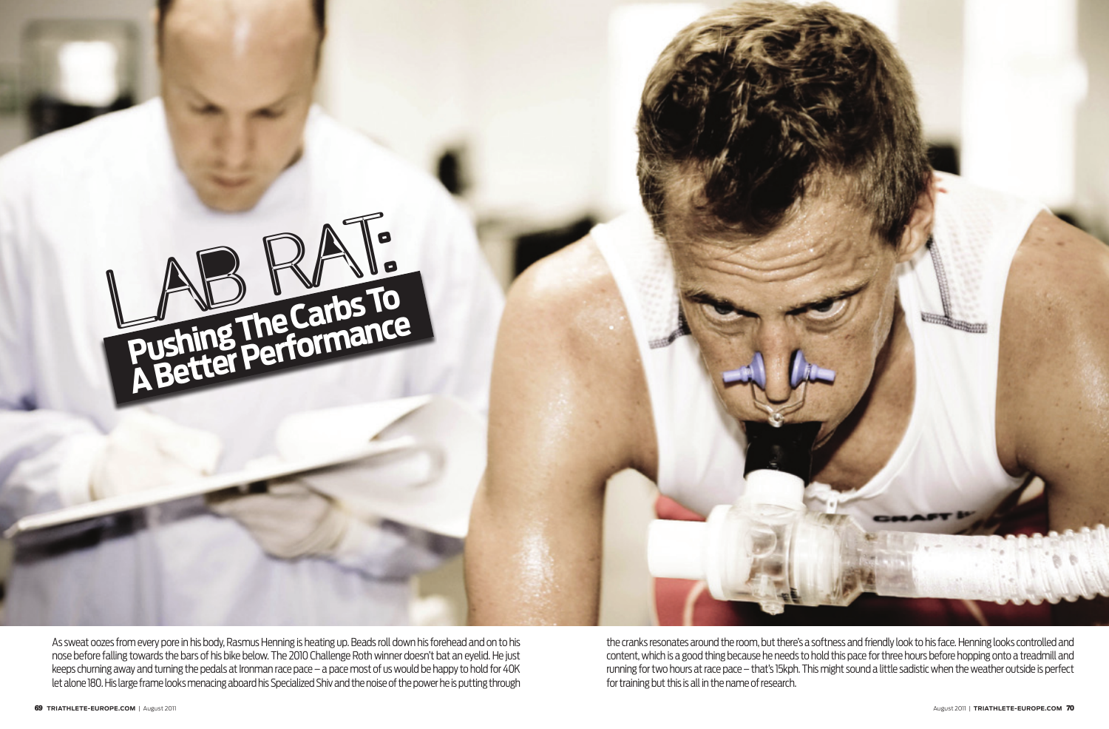

As sweat oozes from every pore in his body, Rasmus Henning is heating up. Beads roll down his forehead and on to his nose before falling towards the bars of his bike below. The 2010 Challenge Roth winner doesn't bat an eyelid. He just keeps churning away and turning the pedals at Ironman race pace – a pace most of us would be happy to hold for 40K let alone 180. His large frame looks menacing aboard his Specialized Shiv and the noise of the power he is putting through

the cranks resonates around the room, but there's a softness and friendly look to his face. Henning looks controlled and content, which is a good thing because he needs to hold this pace for three hours before hopping onto a treadmill and running for two hours at race pace – that's 15kph. This might sound a little sadistic when the weather outside is perfect for training but this is all in the name of research.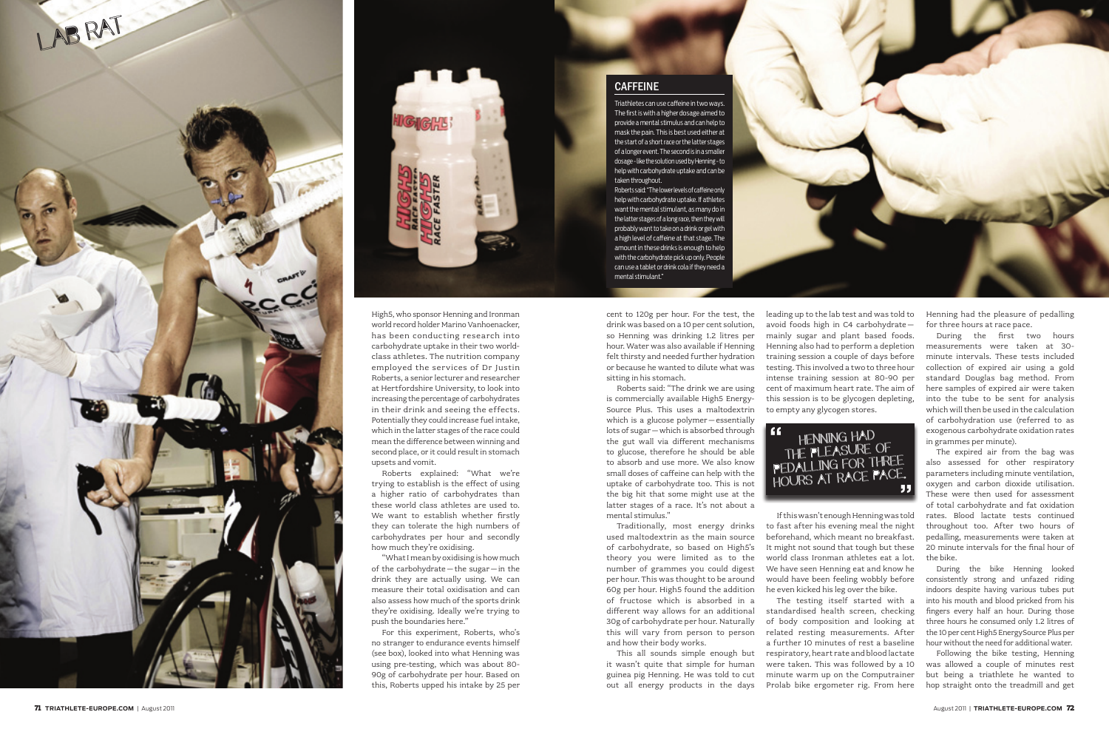High5, who sponsor Henning and Ironman world record holder Marino Vanhoenacker, has been conducting research into carbohydrate uptake in their two worldclass athletes. The nutrition company employed the services of Dr Justin Roberts, a senior lecturer and researcher at Hertfordshire University, to look into increasing the percentage of carbohydrates in their drink and seeing the effects. Potentially they could increase fuel intake, which in the latter stages of the race could mean the difference between winning and second place, or it could result in stomach upsets and vomit.

Roberts explained: "What we're trying to establish is the effect of using a higher ratio of carbohydrates than these world class athletes are used to. We want to establish whether firstly they can tolerate the high numbers of carbohydrates per hour and secondly how much they're oxidising.

"What I mean by oxidising is how much of the carbohydrate–the sugar–in the drink they are actually using. We can measure their total oxidisation and can also assess how much of the sports drink they're oxidising. Ideally we're trying to push the boundaries here."

For this experiment, Roberts, who's no stranger to endurance events himself (see box), looked into what Henning was using pre-testing, which was about 80- 90g of carbohydrate per hour. Based on this, Roberts upped his intake by 25 per

## **CAFFEINE**

cent to 120g per hour. For the test, the drink was based on a 10 per cent solution, so Henning was drinking 1.2 litres per hour. Water was also available if Henning felt thirsty and needed further hydration or because he wanted to dilute what was sitting in his stomach.

Roberts said: "The drink we are using is commercially available High5 Energy-Source Plus. This uses a maltodextrin which is a glucose polymer–essentially lots of sugar–which is absorbed through the gut wall via different mechanisms to glucose, therefore he should be able to absorb and use more. We also know small doses of caffeine can help with the uptake of carbohydrate too. This is not the big hit that some might use at the latter stages of a race. It's not about a mental stimulus."

Traditionally, most energy drinks used maltodextrin as the main source of carbohydrate, so based on High5's theory you were limited as to the number of grammes you could digest per hour. This was thought to be around 60g per hour. High5 found the addition of fructose which is absorbed in a different way allows for an additional 30g of carbohydrate per hour. Naturally this will vary from person to person and how their body works.

This all sounds simple enough but it wasn't quite that simple for human guinea pig Henning. He was told to cut out all energy products in the days leading up to the lab test and was told to avoid foods high in C4 carbohydrate– mainly sugar and plant based foods. Henning also had to perform a depletion training session a couple of days before testing. This involved a two to three hour intense training session at 80-90 per cent of maximum heart rate. The aim of this session is to be glycogen depleting, to empty any glycogen stores.

If this wasn't enough Henning was told to fast after his evening meal the night beforehand, which meant no breakfast. It might not sound that tough but these world class Ironman athletes eat a lot. We have seen Henning eat and know he would have been feeling wobbly before he even kicked his leg over the bike.

The testing itself started with a standardised health screen, checking of body composition and looking at related resting measurements. After a further 10 minutes of rest a baseline respiratory, heart rate and blood lactate were taken. This was followed by a 10 minute warm up on the Computrainer Prolab bike ergometer rig. From here



Henning had the pleasure of pedalling for three hours at race pace.

During the first two hours measurements were taken at 30 minute intervals. These tests included collection of expired air using a gold standard Douglas bag method. From here samples of expired air were taken into the tube to be sent for analysis which will then be used in the calculation of carbohydration use (referred to as exogenous carbohydrate oxidation rates in grammes per minute).

The expired air from the bag was also assessed for other respiratory parameters including minute ventilation, oxygen and carbon dioxide utilisation. These were then used for assessment of total carbohydrate and fat oxidation rates. Blood lactate tests continued throughout too. After two hours of pedalling, measurements were taken at 20 minute intervals for the final hour of the bike.

During the bike Henning looked consistently strong and unfazed riding indoors despite having various tubes put into his mouth and blood pricked from his fingers every half an hour. During those three hours he consumed only 1.2 litres of the 10 per cent High5 EnergySource Plus per hour without the need for additional water.

Following the bike testing, Henning was allowed a couple of minutes rest but being a triathlete he wanted to hop straight onto the treadmill and get







Triathletes can use caffeine in two ways. The first is with a higher dosage aimed to provide a mental stimulus and can help to mask the pain. This is best used either at the start of a short race or the latter stages of a longer event. The second is in a smaller dosage - like the solution used by Henning - to help with carbohydrate uptake and can be taken throughout.

Roberts said: "The lower levels of caffeine only help with carbohydrate uptake. If athletes want the mental stimulant, as many do in the latter stages of a long race, then they will probably want to take on a drink or gel with a high level of caffeine at that stage. The amount in these drinks is enough to help with the carbohydrate pick up only. People can use a tablet or drink cola if they need a mental stimulant."